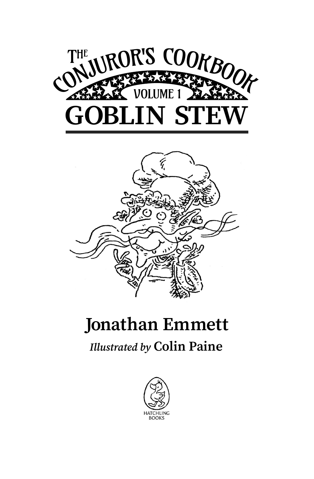



## **Jonathan Emmett**

## *Illustrated by* **Colin Paine**

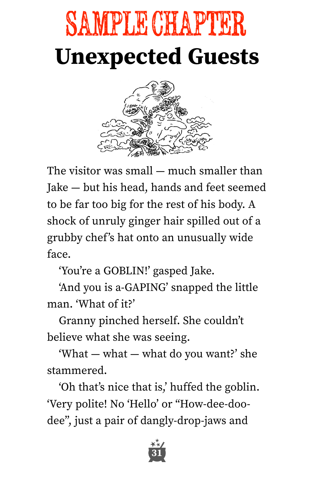## **Unexpected Guests** SAMPLE CHAPTER



The visitor was small — much smaller than Jake — but his head, hands and feet seemed to be far too big for the rest of his body. A shock of unruly ginger hair spilled out of a grubby chef's hat onto an unusually wide face.

ʻYou're a GOBLIN!' gasped Jake.

ʻAnd you is a-GAPING' snapped the little man. ʻWhat of it?'

Granny pinched herself. She couldn't believe what she was seeing.

ʻWhat — what — what do you want?' she stammered.

ʻOh that's nice that is,' huffed the goblin. ʻVery polite! No ʻHello' or "How-dee-doodee", just a pair of dangly-drop-jaws and

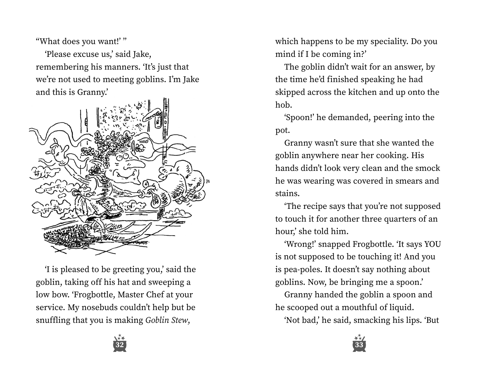"What does you want!' ''

ʻPlease excuse us,' said Jake, remembering his manners. ʻIt's just that we're not used to meeting goblins. I'm Jake and this is Granny.'



ʻI is pleased to be greeting you,' said the goblin, taking off his hat and sweeping a low bow. ʻFrogbottle, Master Chef at your service. My nosebuds couldn't help but be snuffling that you is making *Goblin Stew*,

which happens to be my speciality. Do you mind if I be coming in?'

The goblin didn't wait for an answer, by the time he'd finished speaking he had skipped across the kitchen and up onto the hob.

ʻSpoon!' he demanded, peering into the pot.

Granny wasn't sure that she wanted the goblin anywhere near her cooking. His hands didn't look very clean and the smock he was wearing was covered in smears and stains.

ʻThe recipe says that you're not supposed to touch it for another three quarters of an hour,' she told him.

ʻWrong!' snapped Frogbottle. ʻIt says YOU is not supposed to be touching it! And you is pea-poles. It doesn't say nothing about goblins. Now, be bringing me a spoon.'

Granny handed the goblin a spoon and he scooped out a mouthful of liquid.

ʻNot bad,' he said, smacking his lips. ʻBut



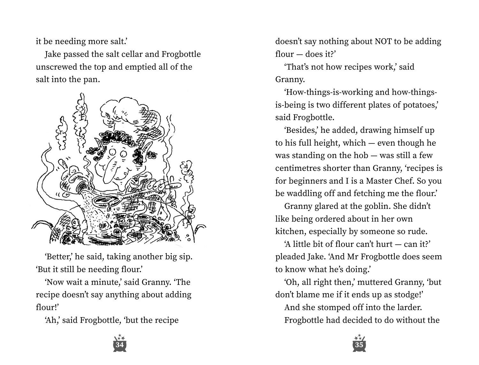it be needing more salt.'

Jake passed the salt cellar and Frogbottle unscrewed the top and emptied all of the salt into the pan.



ʻBetter,' he said, taking another big sip. ʻBut it still be needing flour.'

ʻNow wait a minute,' said Granny. ʻThe recipe doesn't say anything about adding flour!'

ʻAh,' said Frogbottle, ʻbut the recipe

doesn't say nothing about NOT to be adding flour — does it?'

ʻThat's not how recipes work,' said Granny.

ʻHow-things-is-working and how-thingsis-being is two different plates of potatoes,' said Frogbottle.

ʻBesides,' he added, drawing himself up to his full height, which — even though he was standing on the hob — was still a few centimetres shorter than Granny, ʻrecipes is for beginners and I is a Master Chef. So you be waddling off and fetching me the flour.'

Granny glared at the goblin. She didn't like being ordered about in her own kitchen, especially by someone so rude.

ʻA little bit of flour can't hurt — can it?' pleaded Jake. ʻAnd Mr Frogbottle does seem to know what he's doing.'

ʻOh, all right then,' muttered Granny, ʻbut don't blame me if it ends up as stodge!'

And she stomped off into the larder. Frogbottle had decided to do without the



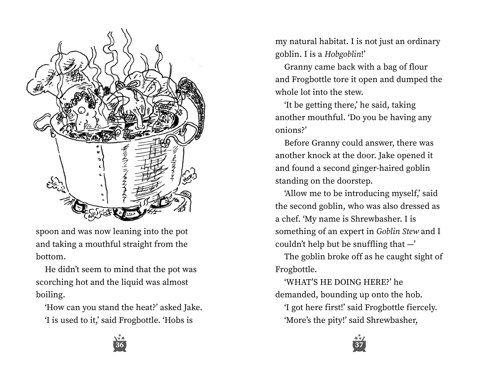

spoon and was now leaning into the pot and taking a mouthful straight from the bottom.

He didn't seem to mind that the pot was scorching hot and the liquid was almost boiling.

ʻHow can you stand the heat?' asked Jake. ʻI is used to it,' said Frogbottle. ʻHobs is

**36 37**

my natural habitat. I is not just an ordinary goblin. I is a *Hobgoblin*!'

Granny came back with a bag of flour and Frogbottle tore it open and dumped the whole lot into the stew.

ʻIt be getting there,' he said, taking another mouthful. ʻDo you be having any onions?'

Before Granny could answer, there was another knock at the door. Jake opened it and found a second ginger-haired goblin standing on the doorstep.

ʻAllow me to be introducing myself,' said the second goblin, who was also dressed as a chef. ʻMy name is Shrewbasher. I is something of an expert in *Goblin Stew* and I couldn't help but be snuffling that  $-$ '

The goblin broke off as he caught sight of Frogbottle.

ʻWHAT'S HE DOING HERE?' he demanded, bounding up onto the hob.

ʻI got here first!' said Frogbottle fiercely. ʻMore's the pity!' said Shrewbasher,